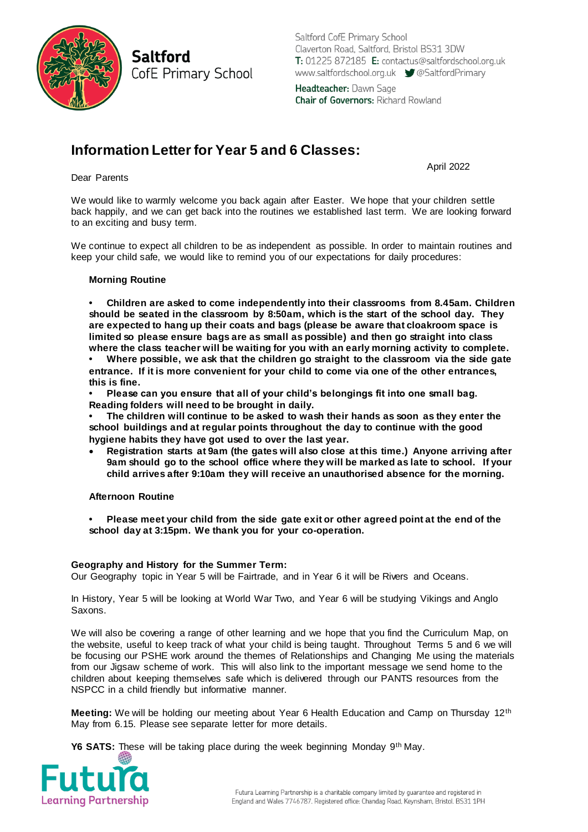**Saltford** CofE Primary School Saltford CofE Primary School Claverton Road, Saltford, Bristol BS31 3DW T: 01225 872185 E: contactus@saltfordschool.org.uk www.saltfordschool.org.uk 
SaltfordPrimary Headteacher: Dawn Sage

**Chair of Governors: Richard Rowland** 

# **Information Letter for Year 5 and 6 Classes:**

April 2022

#### Dear Parents

We would like to warmly welcome you back again after Easter. We hope that your children settle back happily, and we can get back into the routines we established last term. We are looking forward to an exciting and busy term.

We continue to expect all children to be as independent as possible. In order to maintain routines and keep your child safe, we would like to remind you of our expectations for daily procedures:

### **Morning Routine**

**• Children are asked to come independently into their classrooms from 8.45am. Children should be seated in the classroom by 8:50am, which is the start of the school day. They are expected to hang up their coats and bags (please be aware that cloakroom space is limited so please ensure bags are as small as possible) and then go straight into class where the class teacher will be waiting for you with an early morning activity to complete.** 

**• Where possible, we ask that the children go straight to the classroom via the side gate entrance. If it is more convenient for your child to come via one of the other entrances, this is fine.** 

**• Please can you ensure that all of your child's belongings fit into one small bag. Reading folders will need to be brought in daily.** 

**• The children will continue to be asked to wash their hands as soon as they enter the school buildings and at regular points throughout the day to continue with the good hygiene habits they have got used to over the last year.** 

 **Registration starts at 9am (the gates will also close at this time.) Anyone arriving after 9am should go to the school office where they will be marked as late to school. If your child arrives after 9:10am they will receive an unauthorised absence for the morning.**

#### **Afternoon Routine**

**• Please meet your child from the side gate exit or other agreed point at the end of the school day at 3:15pm. We thank you for your co-operation.**

## **Geography and History for the Summer Term:**

Our Geography topic in Year 5 will be Fairtrade, and in Year 6 it will be Rivers and Oceans.

In History, Year 5 will be looking at World War Two, and Year 6 will be studying Vikings and Anglo Saxons.

We will also be covering a range of other learning and we hope that you find the Curriculum Map, on the website, useful to keep track of what your child is being taught. Throughout Terms 5 and 6 we will be focusing our PSHE work around the themes of Relationships and Changing Me using the materials from our Jigsaw scheme of work. This will also link to the important message we send home to the children about keeping themselves safe which is delivered through our PANTS resources from the NSPCC in a child friendly but informative manner.

**Meeting:** We will be holding our meeting about Year 6 Health Education and Camp on Thursday 12th May from 6.15. Please see separate letter for more details.

**Y6 SATS:** These will be taking place during the week beginning Monday 9<sup>th</sup> May.

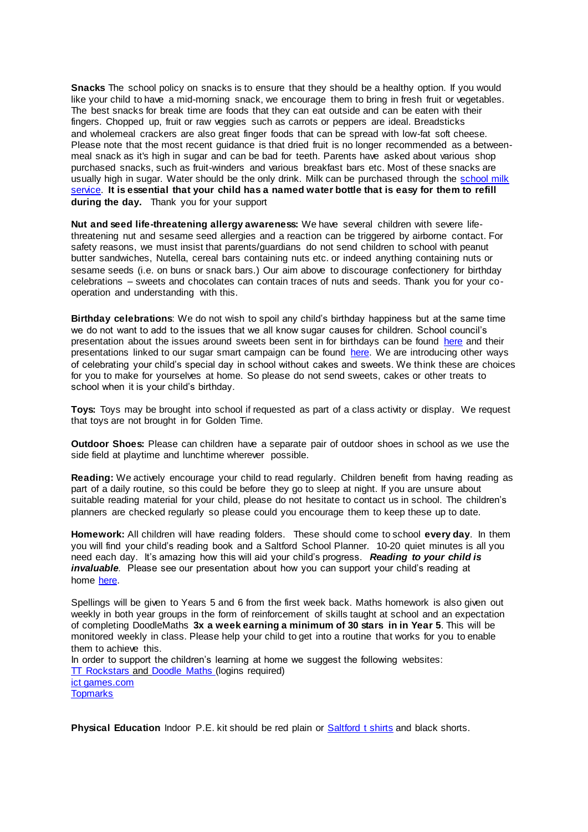**Snacks** The school policy on snacks is to ensure that they should be a healthy option. If you would like your child to have a mid-morning snack, we encourage them to bring in fresh fruit or vegetables. The best snacks for break time are foods that they can eat outside and can be eaten with their fingers. Chopped up, fruit or raw veggies such as carrots or peppers are ideal. Breadsticks and wholemeal crackers are also great finger foods that can be spread with low-fat soft cheese. Please note that the most recent guidance is that dried fruit is no longer recommended as a betweenmeal snack as it's high in sugar and can be bad for teeth. Parents have asked about various shop purchased snacks, such as fruit-winders and various breakfast bars etc. Most of these snacks are usually high in sugar. Water should be the only drink. Milk can be purchased through the school milk [service.](http://www.saltfordschool.org.uk/assets/uploads/documents/office/General%20Parent%20Letter%20Milk%20Feb%202018.pdf) **It is essential that your child has a named water bottle that is easy for them to refill during the day.** Thank you for your support

**Nut and seed life-threatening allergy awareness:** We have several children with severe lifethreatening nut and sesame seed allergies and a reaction can be triggered by airborne contact. For safety reasons, we must insist that parents/guardians do not send children to school with peanut butter sandwiches, Nutella, cereal bars containing nuts etc. or indeed anything containing nuts or sesame seeds (i.e. on buns or snack bars.) Our aim above to discourage confectionery for birthday celebrations – sweets and chocolates can contain traces of nuts and seeds. Thank you for your cooperation and understanding with this.

**Birthday celebrations**: We do not wish to spoil any child's birthday happiness but at the same time we do not want to add to the issues that we all know sugar causes for children. School council's presentation about the issues around sweets been sent in for birthdays can be found [here](https://www.saltfordschool.org.uk/assets/uploads/documents/children/Healthy%20eating.pdf) and their presentations linked to our sugar smart campaign can be found [here.](https://www.saltfordschool.org.uk/assets/uploads/images/children/Sugar%20Smart%20Assembly%201%20-%20Saltford%20School.pdf) We are introducing other ways of celebrating your child's special day in school without cakes and sweets. We think these are choices for you to make for yourselves at home. So please do not send sweets, cakes or other treats to school when it is your child's birthday.

**Toys:** Toys may be brought into school if requested as part of a class activity or display. We request that toys are not brought in for Golden Time.

**Outdoor Shoes:** Please can children have a separate pair of outdoor shoes in school as we use the side field at playtime and lunchtime wherever possible.

**Reading:** We actively encourage your child to read regularly. Children benefit from having reading as part of a daily routine, so this could be before they go to sleep at night. If you are unsure about suitable reading material for your child, please do not hesitate to contact us in school. The children's planners are checked regularly so please could you encourage them to keep these up to date.

**Homework:** All children will have reading folders. These should come to school **every day**. In them you will find your child's reading book and a Saltford School Planner. 10-20 quiet minutes is all you need each day. It's amazing how this will aid your child's progress. *Reading to your child is invaluable.* Please see our presentation about how you can support your child's reading at home [here.](https://www.saltfordschool.org.uk/assets/uploads/documents/curriculum/english/Reading%20at%20Saltford%20School.pdf)

Spellings will be given to Years 5 and 6 from the first week back. Maths homework is also given out weekly in both year groups in the form of reinforcement of skills taught at school and an expectation of completing DoodleMaths **3x a week earning a minimum of 30 stars in in Year 5**. This will be monitored weekly in class. Please help your child to get into a routine that works for you to enable them to achieve this.

In order to support the children's learning at home we suggest the following websites: [TT Rockstars](https://play.ttrockstars.com/auth/school/student) and [Doodle Maths](https://www.doodlemaths.com/students/) (logins required) [ict games.com](http://www.ictgames.com/)

**[Topmarks](https://www.topmarks.co.uk/)** 

**Physical Education** Indoor P.E. kit should be red plain or [Saltford t shirts](https://www.saltfordschool.org.uk/the-office/) and black shorts.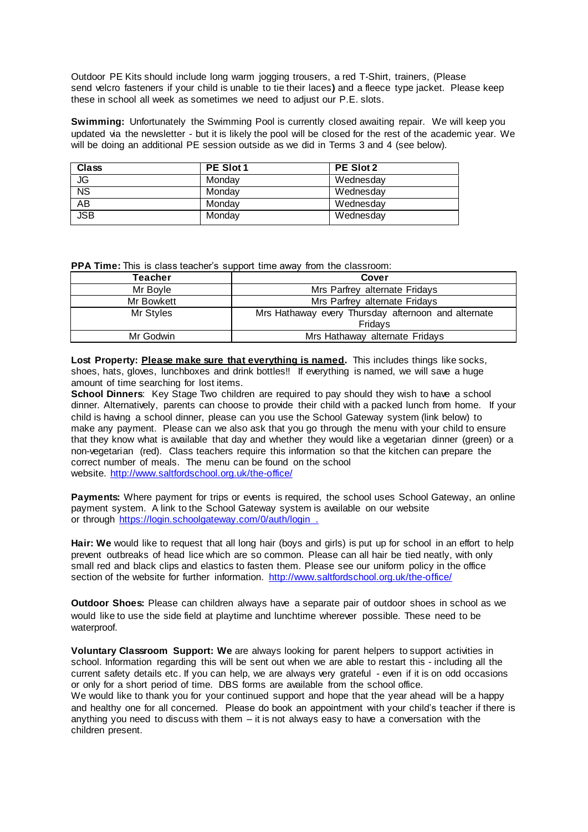Outdoor PE Kits should include long warm jogging trousers, a red T-Shirt, trainers, (Please send velcro fasteners if your child is unable to tie their laces**)** and a fleece type jacket. Please keep these in school all week as sometimes we need to adjust our P.E. slots.

**Swimming:** Unfortunately the Swimming Pool is currently closed awaiting repair. We will keep you updated via the newsletter - but it is likely the pool will be closed for the rest of the academic year. We will be doing an additional PE session outside as we did in Terms 3 and 4 (see below).

| Class           | PE Slot 1 | PE Slot 2 |
|-----------------|-----------|-----------|
| <b>JG</b>       | Mondav    | Wednesday |
| <b>NS</b>       | Mondav    | Wednesday |
| $\overline{AB}$ | Mondav    | Wednesday |
| JSB             | Mondav    | Wednesday |

**PPA Time:** This is class teacher's support time away from the classroom:

| Teacher    | Cover                                                          |  |
|------------|----------------------------------------------------------------|--|
| Mr Boyle   | Mrs Parfrey alternate Fridays                                  |  |
| Mr Bowkett | Mrs Parfrey alternate Fridays                                  |  |
| Mr Styles  | Mrs Hathaway every Thursday afternoon and alternate<br>Fridays |  |
| Mr Godwin  | Mrs Hathaway alternate Fridays                                 |  |

**Lost Property: Please make sure that everything is named.** This includes things like socks, shoes, hats, gloves, lunchboxes and drink bottles!! If everything is named, we will save a huge amount of time searching for lost items.

**School Dinners**: Key Stage Two children are required to pay should they wish to have a school dinner. Alternatively, parents can choose to provide their child with a packed lunch from home. If your child is having a school dinner, please can you use the School Gateway system (link below) to make any payment. Please can we also ask that you go through the menu with your child to ensure that they know what is available that day and whether they would like a vegetarian dinner (green) or a non-vegetarian (red). Class teachers require this information so that the kitchen can prepare the correct number of meals. The menu can be found on the school website. <http://www.saltfordschool.org.uk/the-office/>

Payments: Where payment for trips or events is required, the school uses School Gateway, an online payment system. A link to the School Gateway system is available on our website or through <https://login.schoolgateway.com/0/auth/login> .

**Hair: We** would like to request that all long hair (boys and girls) is put up for school in an effort to help prevent outbreaks of head lice which are so common. Please can all hair be tied neatly, with only small red and black clips and elastics to fasten them. Please see our uniform policy in the office section of the website for further information. <http://www.saltfordschool.org.uk/the-office/>

**Outdoor Shoes:** Please can children always have a separate pair of outdoor shoes in school as we would like to use the side field at playtime and lunchtime wherever possible. These need to be waterproof.

**Voluntary Classroom Support: We** are always looking for parent helpers to support activities in school. Information regarding this will be sent out when we are able to restart this - including all the current safety details etc. If you can help, we are always very grateful - even if it is on odd occasions or only for a short period of time. DBS forms are available from the school office. We would like to thank you for your continued support and hope that the year ahead will be a happy and healthy one for all concerned. Please do book an appointment with your child's teacher if there is anything you need to discuss with them – it is not always easy to have a conversation with the children present.